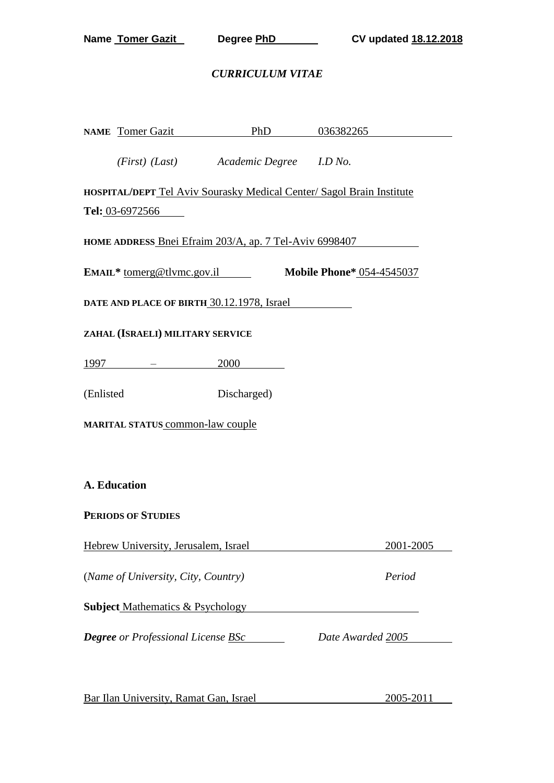#### *CURRICULUM VITAE*

|           | NAME Tomer Gazit PhD 036382265                   |                                        |                                                                       |  |
|-----------|--------------------------------------------------|----------------------------------------|-----------------------------------------------------------------------|--|
|           |                                                  | (First) (Last) Academic Degree I.D No. |                                                                       |  |
|           |                                                  |                                        | HOSPITAL/DEPT Tel Aviv Sourasky Medical Center/ Sagol Brain Institute |  |
|           | Tel: 03-6972566                                  |                                        |                                                                       |  |
|           |                                                  |                                        | HOME ADDRESS Bnei Efraim 203/A, ap. 7 Tel-Aviv 6998407                |  |
|           |                                                  |                                        | EMAIL* tomerg@tlvmc.gov.il Mobile Phone* 054-4545037                  |  |
|           | DATE AND PLACE OF BIRTH 30.12.1978, Israel       |                                        |                                                                       |  |
|           | ZAHAL (ISRAELI) MILITARY SERVICE                 |                                        |                                                                       |  |
|           | <u> 1997 - American American A</u>               | 2000                                   |                                                                       |  |
| (Enlisted |                                                  | Discharged)                            |                                                                       |  |
|           | MARITAL STATUS common-law couple                 |                                        |                                                                       |  |
|           |                                                  |                                        |                                                                       |  |
|           | A. Education                                     |                                        |                                                                       |  |
|           | <b>PERIODS OF STUDIES</b>                        |                                        |                                                                       |  |
|           | Hebrew University, Jerusalem, Israel             |                                        | 2001-2005                                                             |  |
|           | (Name of University, City, Country)              |                                        | Period                                                                |  |
|           | <b>Subject Mathematics &amp; Psychology</b>      |                                        |                                                                       |  |
|           | <b>Degree</b> or Professional License <b>BSc</b> |                                        | Date Awarded 2005                                                     |  |
|           |                                                  |                                        |                                                                       |  |

Bar Ilan University, Ramat Gan, Israel 2005-2011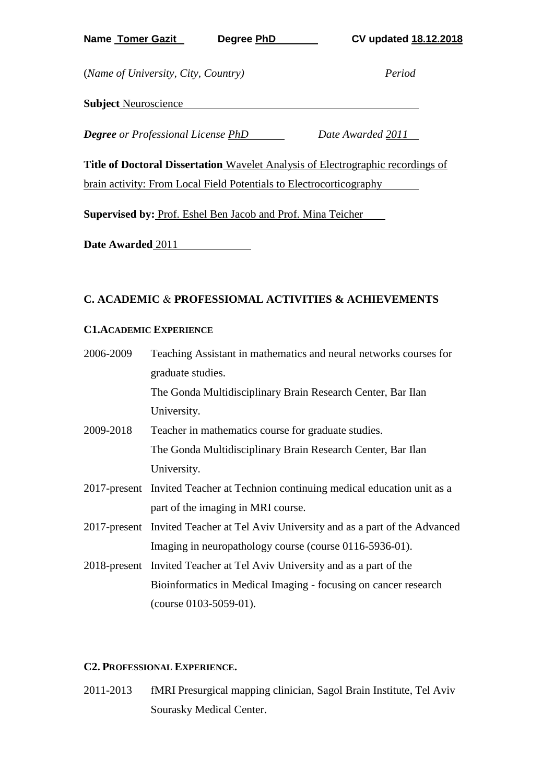**Name Tomer Gazit Degree PhD CV updated 18.12.2018**

(*Name of University, City, Country) Period*

**Subject** Neuroscience

*Degree or Professional License PhD Date Awarded 2011*

**Title of Doctoral Dissertation** Wavelet Analysis of Electrographic recordings of brain activity: From Local Field Potentials to Electrocorticography

**Supervised by:** Prof. Eshel Ben Jacob and Prof. Mina Teicher

**Date Awarded** 2011

## **C. ACADEMIC** & **PROFESSIOMAL ACTIVITIES & ACHIEVEMENTS**

#### **C1.ACADEMIC EXPERIENCE**

| 2006-2009 | Teaching Assistant in mathematics and neural networks courses for                 |
|-----------|-----------------------------------------------------------------------------------|
|           | graduate studies.                                                                 |
|           | The Gonda Multidisciplinary Brain Research Center, Bar Ilan                       |
|           | University.                                                                       |
| 2009-2018 | Teacher in mathematics course for graduate studies.                               |
|           | The Gonda Multidisciplinary Brain Research Center, Bar Ilan                       |
|           | University.                                                                       |
|           | 2017-present Invited Teacher at Technion continuing medical education unit as a   |
|           | part of the imaging in MRI course.                                                |
|           | 2017-present Invited Teacher at Tel Aviv University and as a part of the Advanced |
|           | Imaging in neuropathology course (course 0116-5936-01).                           |
|           | 2018-present Invited Teacher at Tel Aviv University and as a part of the          |
|           | Bioinformatics in Medical Imaging - focusing on cancer research                   |
|           | $(course\ 0103-5059-01).$                                                         |

#### **C2. PROFESSIONAL EXPERIENCE.**

2011-2013 fMRI Presurgical mapping clinician, Sagol Brain Institute, Tel Aviv Sourasky Medical Center.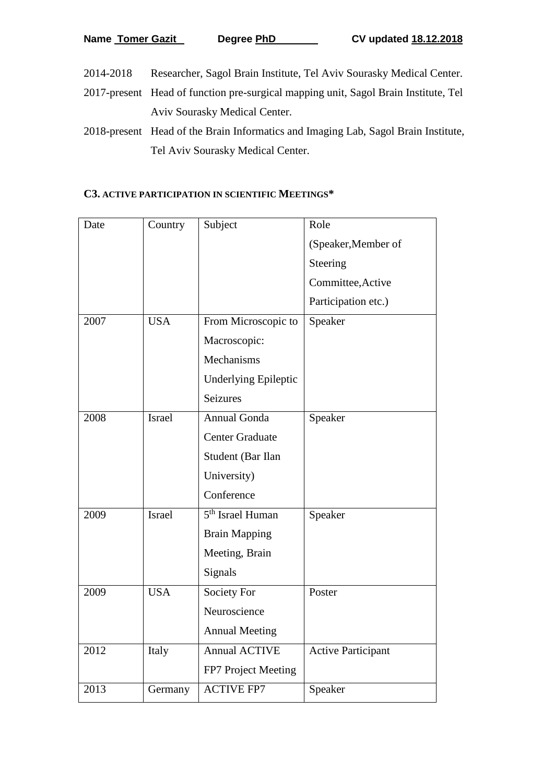- 2014-2018 Researcher, Sagol Brain Institute, Tel Aviv Sourasky Medical Center.
- 2017-present Head of function pre-surgical mapping unit, Sagol Brain Institute, Tel Aviv Sourasky Medical Center.
- 2018-present Head of the Brain Informatics and Imaging Lab, Sagol Brain Institute, Tel Aviv Sourasky Medical Center.

#### **C3. ACTIVE PARTICIPATION IN SCIENTIFIC MEETINGS\***

| Date | Country       | Subject                      | Role                      |
|------|---------------|------------------------------|---------------------------|
|      |               |                              | (Speaker, Member of       |
|      |               |                              | Steering                  |
|      |               |                              | Committee, Active         |
|      |               |                              | Participation etc.)       |
| 2007 | <b>USA</b>    | From Microscopic to          | Speaker                   |
|      |               | Macroscopic:                 |                           |
|      |               | Mechanisms                   |                           |
|      |               | <b>Underlying Epileptic</b>  |                           |
|      |               | <b>Seizures</b>              |                           |
| 2008 | <b>Israel</b> | Annual Gonda                 | Speaker                   |
|      |               | <b>Center Graduate</b>       |                           |
|      |               | Student (Bar Ilan            |                           |
|      |               | University)                  |                           |
|      |               | Conference                   |                           |
| 2009 | <b>Israel</b> | 5 <sup>th</sup> Israel Human | Speaker                   |
|      |               | <b>Brain Mapping</b>         |                           |
|      |               | Meeting, Brain               |                           |
|      |               | Signals                      |                           |
| 2009 | <b>USA</b>    | Society For                  | Poster                    |
|      |               | Neuroscience                 |                           |
|      |               | <b>Annual Meeting</b>        |                           |
| 2012 | Italy         | <b>Annual ACTIVE</b>         | <b>Active Participant</b> |
|      |               | FP7 Project Meeting          |                           |
| 2013 | Germany       | <b>ACTIVE FP7</b>            | Speaker                   |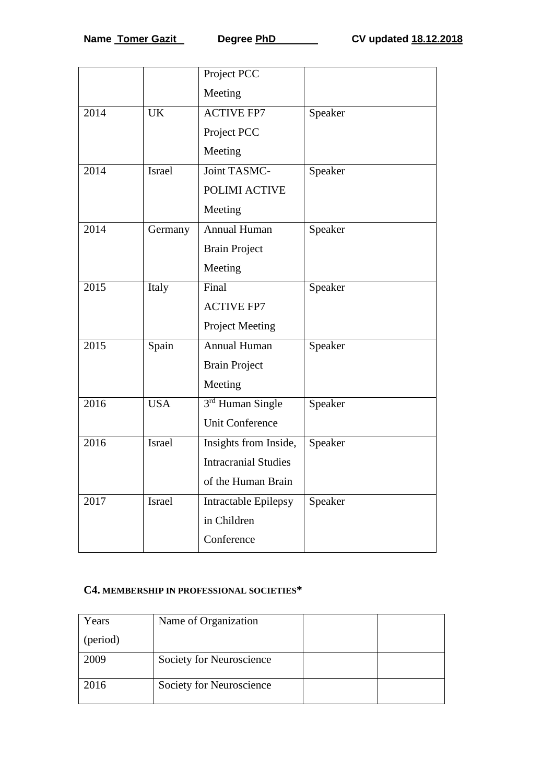|      |               | Project PCC                  |         |
|------|---------------|------------------------------|---------|
|      |               | Meeting                      |         |
| 2014 | <b>UK</b>     | <b>ACTIVE FP7</b>            | Speaker |
|      |               | Project PCC                  |         |
|      |               | Meeting                      |         |
| 2014 | <b>Israel</b> | Joint TASMC-                 | Speaker |
|      |               | POLIMI ACTIVE                |         |
|      |               | Meeting                      |         |
| 2014 | Germany       | Annual Human                 | Speaker |
|      |               | <b>Brain Project</b>         |         |
|      |               | Meeting                      |         |
| 2015 | Italy         | Final                        | Speaker |
|      |               | <b>ACTIVE FP7</b>            |         |
|      |               | <b>Project Meeting</b>       |         |
| 2015 | Spain         | Annual Human                 | Speaker |
|      |               | <b>Brain Project</b>         |         |
|      |               | Meeting                      |         |
| 2016 | <b>USA</b>    | 3 <sup>rd</sup> Human Single | Speaker |
|      |               | <b>Unit Conference</b>       |         |
| 2016 | <b>Israel</b> | Insights from Inside,        | Speaker |
|      |               | <b>Intracranial Studies</b>  |         |
|      |               | of the Human Brain           |         |
| 2017 | Israel        | Intractable Epilepsy         | Speaker |
|      |               | in Children                  |         |
|      |               | Conference                   |         |

## **C4. MEMBERSHIP IN PROFESSIONAL SOCIETIES\***

| Years    | Name of Organization     |  |
|----------|--------------------------|--|
| (period) |                          |  |
| 2009     | Society for Neuroscience |  |
| 2016     | Society for Neuroscience |  |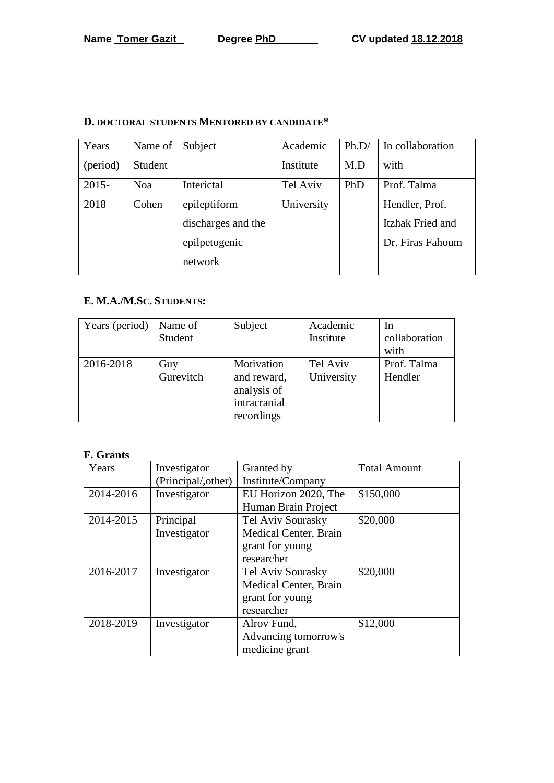# **D. DOCTORAL STUDENTS MENTORED BY CANDIDATE\***

| Years    | Name of    | Subject            | Academic   | Ph.D/ | In collaboration |
|----------|------------|--------------------|------------|-------|------------------|
| (period) | Student    |                    | Institute  | M.D   | with             |
| $2015 -$ | <b>Noa</b> | Interictal         | Tel Aviv   | PhD   | Prof. Talma      |
| 2018     | Cohen      | epileptiform       | University |       | Hendler, Prof.   |
|          |            | discharges and the |            |       | Itzhak Fried and |
|          |            | epilpetogenic      |            |       | Dr. Firas Fahoum |
|          |            | network            |            |       |                  |

## **E. M.A./M.SC. STUDENTS:**

| Years (period) | Name of<br>Student | Subject                                                                | Academic<br>Institute  | In<br>collaboration<br>with |
|----------------|--------------------|------------------------------------------------------------------------|------------------------|-----------------------------|
| 2016-2018      | Guy<br>Gurevitch   | Motivation<br>and reward,<br>analysis of<br>intracranial<br>recordings | Tel Aviv<br>University | Prof. Talma<br>Hendler      |

# **F. Grants**

| Years     | Investigator        | Granted by            | <b>Total Amount</b> |
|-----------|---------------------|-----------------------|---------------------|
|           | (Principal/, other) | Institute/Company     |                     |
| 2014-2016 | Investigator        | EU Horizon 2020, The  | \$150,000           |
|           |                     | Human Brain Project   |                     |
| 2014-2015 | Principal           | Tel Aviv Sourasky     | \$20,000            |
|           | Investigator        | Medical Center, Brain |                     |
|           |                     | grant for young       |                     |
|           |                     | researcher            |                     |
| 2016-2017 | Investigator        | Tel Aviv Sourasky     | \$20,000            |
|           |                     | Medical Center, Brain |                     |
|           |                     | grant for young       |                     |
|           |                     | researcher            |                     |
| 2018-2019 | Investigator        | Alrov Fund,           | \$12,000            |
|           |                     | Advancing tomorrow's  |                     |
|           |                     | medicine grant        |                     |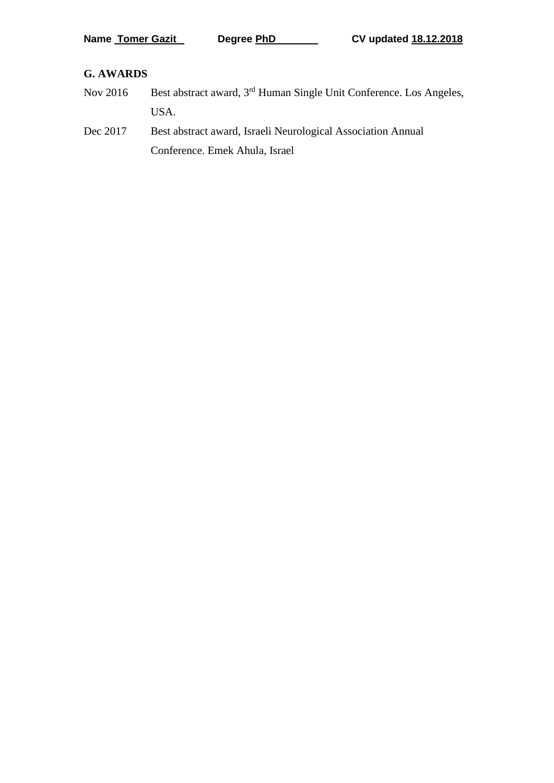### **G. AWARDS**

- Nov 2016 Best abstract award, 3<sup>rd</sup> Human Single Unit Conference. Los Angeles, USA.
- Dec 2017 Best abstract award, Israeli Neurological Association Annual Conference. Emek Ahula, Israel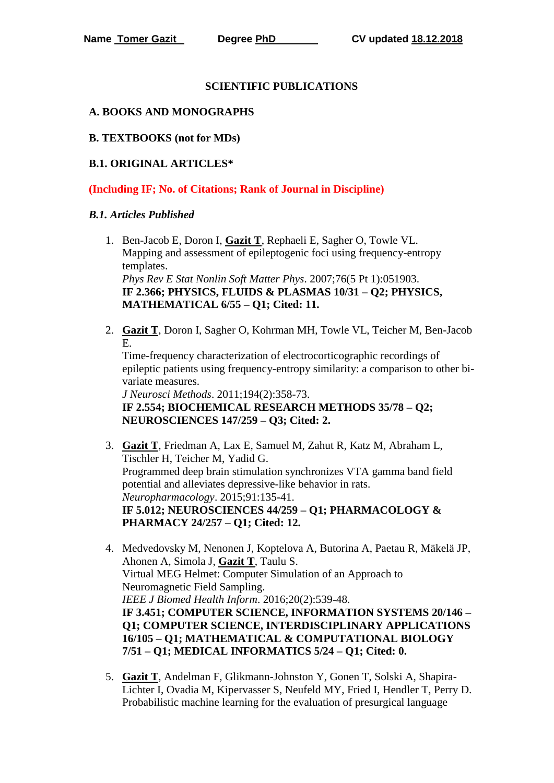#### **SCIENTIFIC PUBLICATIONS**

#### **A. BOOKS AND MONOGRAPHS**

#### **B. TEXTBOOKS (not for MDs)**

## **B.1. ORIGINAL ARTICLES\***

**(Including IF; No. of Citations; Rank of Journal in Discipline)**

#### *B.1. Articles Published*

- 1. Ben-Jacob E, Doron I, **Gazit T**, Rephaeli E, Sagher O, Towle VL. Mapping and assessment of epileptogenic foci using frequency-entropy templates. *Phys Rev E Stat Nonlin Soft Matter Phys*. 2007;76(5 Pt 1):051903. **IF 2.366; PHYSICS, FLUIDS & PLASMAS 10/31 – Q2; PHYSICS, MATHEMATICAL 6/55 – Q1; Cited: 11.**
- 2. **Gazit T**, Doron I, Sagher O, Kohrman MH, Towle VL, Teicher M, Ben-Jacob E.

Time-frequency characterization of electrocorticographic recordings of epileptic patients using frequency-entropy similarity: a comparison to other bivariate measures.

*J Neurosci Methods*. 2011;194(2):358-73. **IF 2.554; BIOCHEMICAL RESEARCH METHODS 35/78 – Q2; NEUROSCIENCES 147/259 – Q3; Cited: 2.**

- 3. **Gazit T**, Friedman A, Lax E, Samuel M, Zahut R, Katz M, Abraham L, Tischler H, Teicher M, Yadid G. Programmed deep brain stimulation synchronizes VTA gamma band field potential and alleviates depressive-like behavior in rats. *Neuropharmacology*. 2015;91:135-41. **IF 5.012; NEUROSCIENCES 44/259 – Q1; PHARMACOLOGY & PHARMACY 24/257 – Q1; Cited: 12.**
- 4. Medvedovsky M, Nenonen J, Koptelova A, Butorina A, Paetau R, Mäkelä JP, Ahonen A, Simola J, **Gazit T**, Taulu S. Virtual MEG Helmet: Computer Simulation of an Approach to Neuromagnetic Field Sampling. *IEEE J Biomed Health Inform*. 2016;20(2):539-48. **IF 3.451; COMPUTER SCIENCE, INFORMATION SYSTEMS 20/146 – Q1; COMPUTER SCIENCE, INTERDISCIPLINARY APPLICATIONS 16/105 – Q1; MATHEMATICAL & COMPUTATIONAL BIOLOGY 7/51 – Q1; MEDICAL INFORMATICS 5/24 – Q1; Cited: 0.**
- 5. **Gazit T**, Andelman F, Glikmann-Johnston Y, Gonen T, Solski A, Shapira-Lichter I, Ovadia M, Kipervasser S, Neufeld MY, Fried I, Hendler T, Perry D. Probabilistic machine learning for the evaluation of presurgical language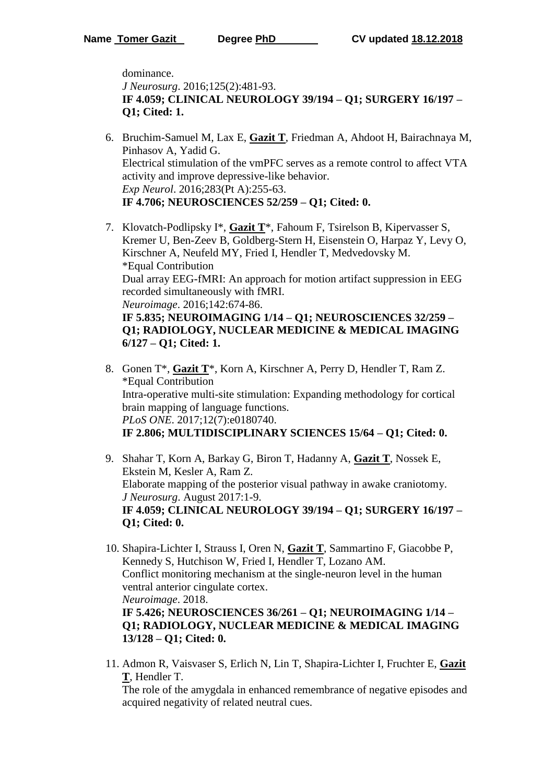**6/127 – Q1; Cited: 1.**

**13/128 – Q1; Cited: 0.**

dominance. *J Neurosurg*. 2016;125(2):481-93. **IF 4.059; CLINICAL NEUROLOGY 39/194 – Q1; SURGERY 16/197 – Q1; Cited: 1.**

- 6. Bruchim-Samuel M, Lax E, **Gazit T**, Friedman A, Ahdoot H, Bairachnaya M, Pinhasov A, Yadid G. Electrical stimulation of the vmPFC serves as a remote control to affect VTA activity and improve depressive-like behavior. *Exp Neurol*. 2016;283(Pt A):255-63. **IF 4.706; NEUROSCIENCES 52/259 – Q1; Cited: 0.**
- 7. Klovatch-Podlipsky I\*, **Gazit T**\*, Fahoum F, Tsirelson B, Kipervasser S, Kremer U, Ben-Zeev B, Goldberg-Stern H, Eisenstein O, Harpaz Y, Levy O, Kirschner A, Neufeld MY, Fried I, Hendler T, Medvedovsky M. \*Equal Contribution Dual array EEG-fMRI: An approach for motion artifact suppression in EEG recorded simultaneously with fMRI. *Neuroimage*. 2016;142:674-86. **IF 5.835; NEUROIMAGING 1/14 – Q1; NEUROSCIENCES 32/259 – Q1; RADIOLOGY, NUCLEAR MEDICINE & MEDICAL IMAGING**
- 8. Gonen T\*, **Gazit T**\*, Korn A, Kirschner A, Perry D, Hendler T, Ram Z. \*Equal Contribution Intra-operative multi-site stimulation: Expanding methodology for cortical brain mapping of language functions. *PLoS ONE*. 2017;12(7):e0180740.

**IF 2.806; MULTIDISCIPLINARY SCIENCES 15/64 – Q1; Cited: 0.**

- 9. Shahar T, Korn A, Barkay G, Biron T, Hadanny A, **Gazit T**, Nossek E, Ekstein M, Kesler A, Ram Z. Elaborate mapping of the posterior visual pathway in awake craniotomy. *J Neurosurg*. August 2017:1-9. **IF 4.059; CLINICAL NEUROLOGY 39/194 – Q1; SURGERY 16/197 – Q1; Cited: 0.**
- 10. Shapira-Lichter I, Strauss I, Oren N, **Gazit T**, Sammartino F, Giacobbe P, Kennedy S, Hutchison W, Fried I, Hendler T, Lozano AM. Conflict monitoring mechanism at the single-neuron level in the human ventral anterior cingulate cortex. *Neuroimage*. 2018. **IF 5.426; NEUROSCIENCES 36/261 – Q1; NEUROIMAGING 1/14 – Q1; RADIOLOGY, NUCLEAR MEDICINE & MEDICAL IMAGING**
- 11. Admon R, Vaisvaser S, Erlich N, Lin T, Shapira-Lichter I, Fruchter E, **Gazit T**, Hendler T.

The role of the amygdala in enhanced remembrance of negative episodes and acquired negativity of related neutral cues.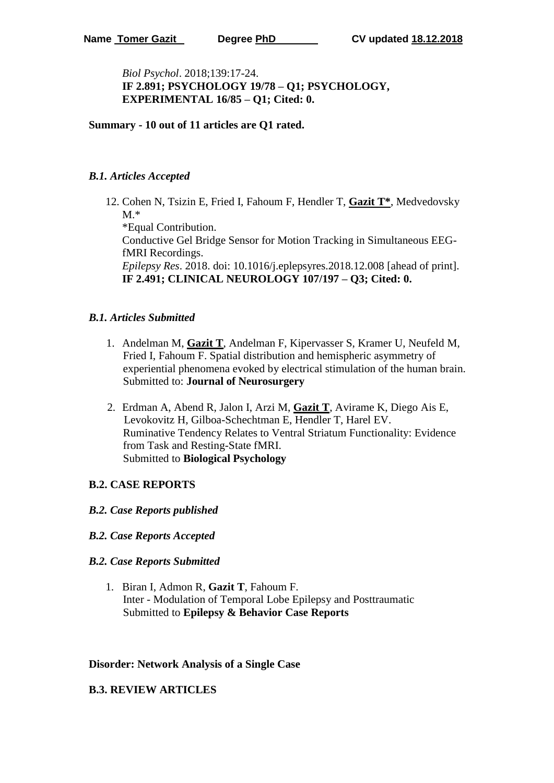*Biol Psychol*. 2018;139:17-24. **IF 2.891; PSYCHOLOGY 19/78 – Q1; PSYCHOLOGY, EXPERIMENTAL 16/85 – Q1; Cited: 0.** 

**Summary - 10 out of 11 articles are Q1 rated.**

## *B.1. Articles Accepted*

12. Cohen N, Tsizin E, Fried I, Fahoum F, Hendler T, **Gazit T\***, Medvedovsky  $M.*$ 

\*Equal Contribution. Conductive Gel Bridge Sensor for Motion Tracking in Simultaneous EEGfMRI Recordings. *Epilepsy Res*. 2018. doi: 10.1016/j.eplepsyres.2018.12.008 [ahead of print]. **IF 2.491; CLINICAL NEUROLOGY 107/197 – Q3; Cited: 0.**

#### *B.1. Articles Submitted*

- 1. Andelman M, **Gazit T**, Andelman F, Kipervasser S, Kramer U, Neufeld M, Fried I, Fahoum F. Spatial distribution and hemispheric asymmetry of experiential phenomena evoked by electrical stimulation of the human brain. Submitted to: **Journal of Neurosurgery**
- 2. Erdman A, Abend R, Jalon I, Arzi M, **Gazit T**, Avirame K, Diego Ais E, Levokovitz H, Gilboa-Schechtman E, Hendler T, Harel EV. Ruminative Tendency Relates to Ventral Striatum Functionality: Evidence from Task and Resting-State fMRI. Submitted to **Biological Psychology**

## **B.2. CASE REPORTS**

- *B.2. Case Reports published*
- *B.2. Case Reports Accepted*

#### *B.2. Case Reports Submitted*

1. Biran I, Admon R, **Gazit T**, Fahoum F. Inter - Modulation of Temporal Lobe Epilepsy and Posttraumatic Submitted to **Epilepsy & Behavior Case Reports**

#### **Disorder: Network Analysis of a Single Case**

#### **B.3. REVIEW ARTICLES**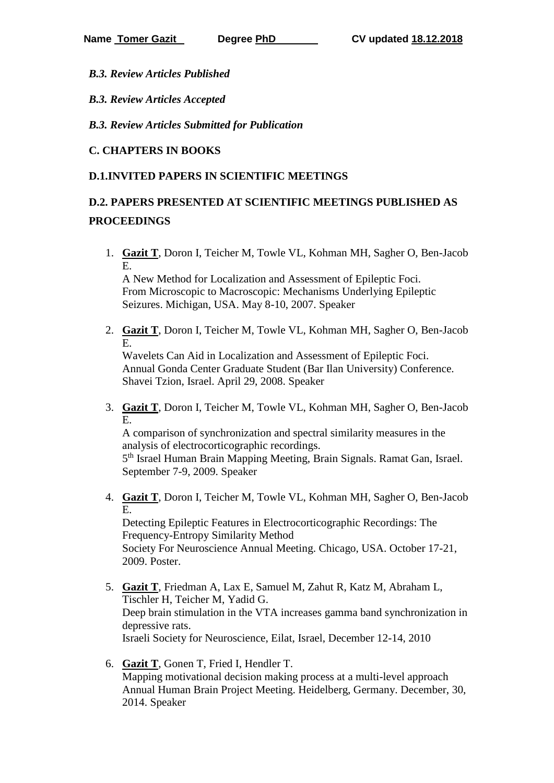*B.3. Review Articles Published*

*B.3. Review Articles Accepted* 

*B.3. Review Articles Submitted for Publication*

## **C. CHAPTERS IN BOOKS**

## **D.1.INVITED PAPERS IN SCIENTIFIC MEETINGS**

# **D.2. PAPERS PRESENTED AT SCIENTIFIC MEETINGS PUBLISHED AS PROCEEDINGS**

1. **Gazit T**, Doron I, Teicher M, Towle VL, Kohman MH, Sagher O, Ben-Jacob E.

A New Method for Localization and Assessment of Epileptic Foci. From Microscopic to Macroscopic: Mechanisms Underlying Epileptic Seizures. Michigan, USA. May 8-10, 2007. Speaker

2. **Gazit T**, Doron I, Teicher M, Towle VL, Kohman MH, Sagher O, Ben-Jacob E.

Wavelets Can Aid in Localization and Assessment of Epileptic Foci. Annual Gonda Center Graduate Student (Bar Ilan University) Conference. Shavei Tzion, Israel. April 29, 2008. Speaker

3. **Gazit T**, Doron I, Teicher M, Towle VL, Kohman MH, Sagher O, Ben-Jacob E.

A comparison of synchronization and spectral similarity measures in the analysis of electrocorticographic recordings. 5<sup>th</sup> Israel Human Brain Mapping Meeting, Brain Signals. Ramat Gan, Israel.

September 7-9, 2009. Speaker

4. **Gazit T**, Doron I, Teicher M, Towle VL, Kohman MH, Sagher O, Ben-Jacob E.

Detecting Epileptic Features in Electrocorticographic Recordings: The Frequency-Entropy Similarity Method Society For Neuroscience Annual Meeting. Chicago, USA. October 17-21, 2009. Poster.

- 5. **Gazit T**, Friedman A, Lax E, Samuel M, Zahut R, Katz M, Abraham L, Tischler H, Teicher M, Yadid G. Deep brain stimulation in the VTA increases gamma band synchronization in depressive rats. Israeli Society for Neuroscience, Eilat, Israel, December 12-14, 2010
- 6. **Gazit T**, Gonen T, Fried I, Hendler T. Mapping motivational decision making process at a multi-level approach Annual Human Brain Project Meeting. Heidelberg, Germany. December, 30, 2014. Speaker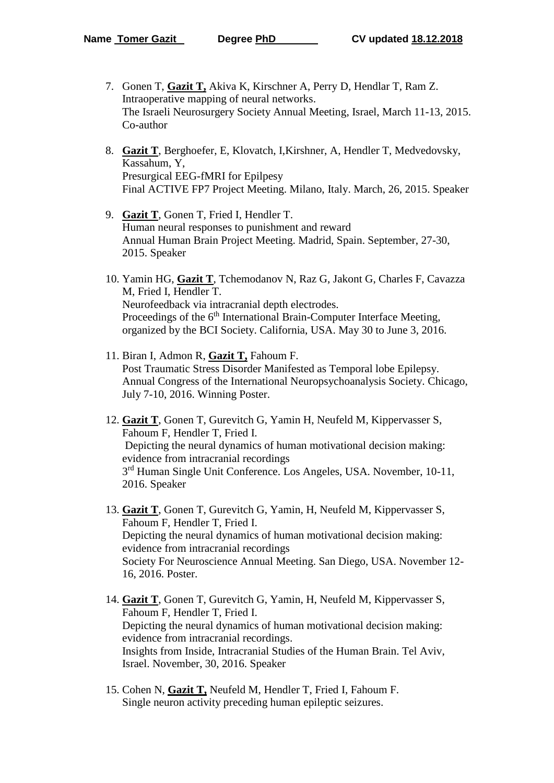- 7. Gonen T, **Gazit T,** Akiva K, Kirschner A, Perry D, Hendlar T, Ram Z. Intraoperative mapping of neural networks. The Israeli Neurosurgery Society Annual Meeting, Israel, March 11-13, 2015. Co-author
- 8. **Gazit T**, Berghoefer, E, Klovatch, I,Kirshner, A, Hendler T, Medvedovsky, Kassahum, Y, Presurgical EEG-fMRI for Epilpesy Final ACTIVE FP7 Project Meeting. Milano, Italy. March, 26, 2015. Speaker
- 9. **Gazit T**, Gonen T, Fried I, Hendler T. Human neural responses to punishment and reward Annual Human Brain Project Meeting. Madrid, Spain. September, 27-30, 2015. Speaker
- 10. Yamin HG, **Gazit T**, Tchemodanov N, Raz G, Jakont G, Charles F, Cavazza M, Fried I, Hendler T. Neurofeedback via intracranial depth electrodes. Proceedings of the 6<sup>th</sup> International Brain-Computer Interface Meeting, organized by the BCI Society. California, USA. May 30 to June 3, 2016.
- 11. Biran I, Admon R, **Gazit T,** Fahoum F. Post Traumatic Stress Disorder Manifested as Temporal lobe Epilepsy. Annual Congress of the International Neuropsychoanalysis Society. Chicago, July 7-10, 2016. Winning Poster.
- 12. **Gazit T**, Gonen T, Gurevitch G, Yamin H, Neufeld M, Kippervasser S, Fahoum F, Hendler T, Fried I. Depicting the neural dynamics of human motivational decision making: evidence from intracranial recordings 3<sup>rd</sup> Human Single Unit Conference. Los Angeles, USA. November, 10-11, 2016. Speaker
- 13. **Gazit T**, Gonen T, Gurevitch G, Yamin, H, Neufeld M, Kippervasser S, Fahoum F, Hendler T, Fried I. Depicting the neural dynamics of human motivational decision making: evidence from intracranial recordings Society For Neuroscience Annual Meeting. San Diego, USA. November 12- 16, 2016. Poster.
- 14. **Gazit T**, Gonen T, Gurevitch G, Yamin, H, Neufeld M, Kippervasser S, Fahoum F, Hendler T, Fried I. Depicting the neural dynamics of human motivational decision making: evidence from intracranial recordings. Insights from Inside, Intracranial Studies of the Human Brain. Tel Aviv, Israel. November, 30, 2016. Speaker
- 15. Cohen N, **Gazit T,** Neufeld M, Hendler T, Fried I, Fahoum F. Single neuron activity preceding human epileptic seizures.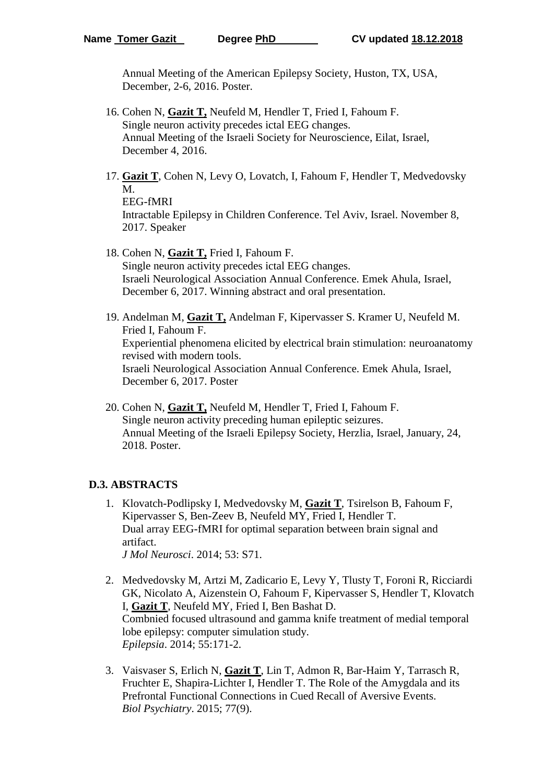Annual Meeting of the American Epilepsy Society, Huston, TX, USA, December, 2-6, 2016. Poster.

- 16. Cohen N, **Gazit T,** Neufeld M, Hendler T, Fried I, Fahoum F. Single neuron activity precedes ictal EEG changes. Annual Meeting of the Israeli Society for Neuroscience, Eilat, Israel, December 4, 2016.
- 17. **Gazit T**, Cohen N, Levy O, Lovatch, I, Fahoum F, Hendler T, Medvedovsky M.

EEG-fMRI Intractable Epilepsy in Children Conference. Tel Aviv, Israel. November 8, 2017. Speaker

- 18. Cohen N, **Gazit T,** Fried I, Fahoum F. Single neuron activity precedes ictal EEG changes. Israeli Neurological Association Annual Conference. Emek Ahula, Israel, December 6, 2017. Winning abstract and oral presentation.
- 19. Andelman M, **Gazit T,** Andelman F, Kipervasser S. Kramer U, Neufeld M. Fried I, Fahoum F. Experiential phenomena elicited by electrical brain stimulation: neuroanatomy revised with modern tools. Israeli Neurological Association Annual Conference. Emek Ahula, Israel, December 6, 2017. Poster
- 20. Cohen N, **Gazit T,** Neufeld M, Hendler T, Fried I, Fahoum F. Single neuron activity preceding human epileptic seizures. Annual Meeting of the Israeli Epilepsy Society, Herzlia, Israel, January, 24, 2018. Poster.

## **D.3. ABSTRACTS**

- 1. Klovatch-Podlipsky I, Medvedovsky M, **Gazit T**, Tsirelson B, Fahoum F, Kipervasser S, Ben-Zeev B, Neufeld MY, Fried I, Hendler T. Dual array EEG-fMRI for optimal separation between brain signal and artifact. *J Mol Neurosci*. 2014; 53: S71.
- 2. Medvedovsky M, Artzi M, Zadicario E, Levy Y, Tlusty T, Foroni R, Ricciardi GK, Nicolato A, Aizenstein O, Fahoum F, Kipervasser S, Hendler T, Klovatch I, **Gazit T**, Neufeld MY, Fried I, Ben Bashat D. Combnied focused ultrasound and gamma knife treatment of medial temporal lobe epilepsy: computer simulation study. *Epilepsia*. 2014; 55:171-2.
- 3. Vaisvaser S, Erlich N, **Gazit T**, Lin T, Admon R, Bar-Haim Y, Tarrasch R, Fruchter E, Shapira-Lichter I, Hendler T. The Role of the Amygdala and its Prefrontal Functional Connections in Cued Recall of Aversive Events. *Biol Psychiatry*. 2015; 77(9).